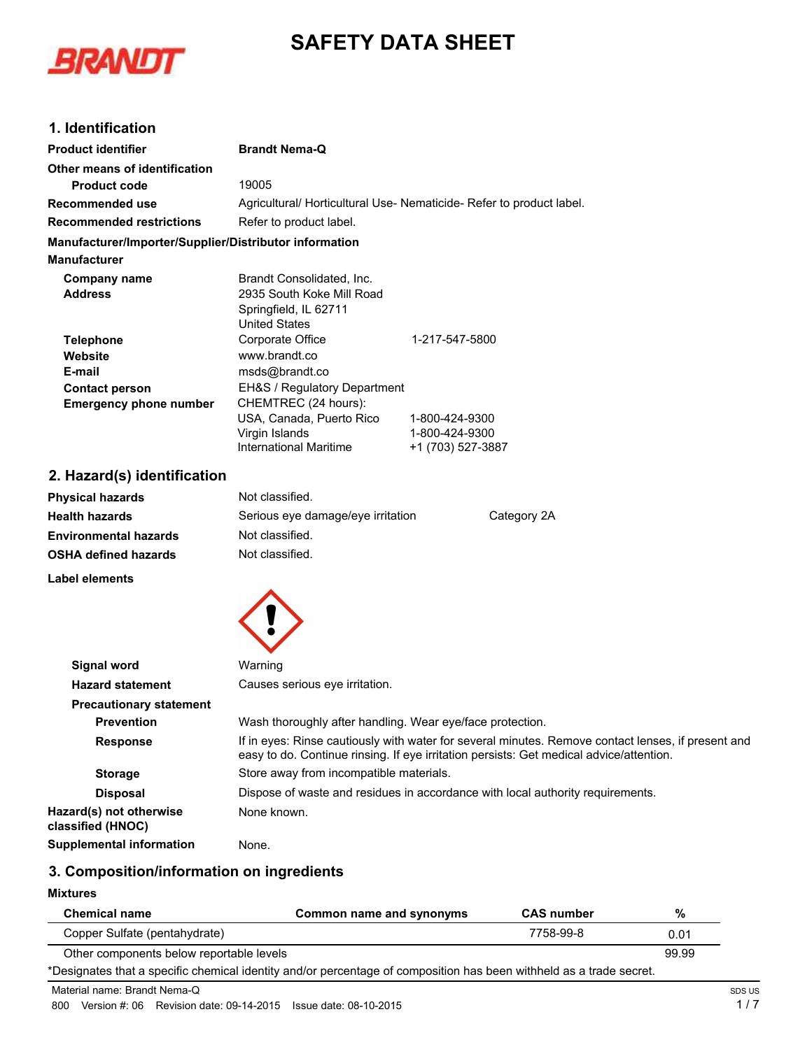# **SAFETY DATA SHEET**



# **1. Identification**

| <b>Product identifier</b>                              | <b>Brandt Nema-Q</b>                                                                                                                                                                          |                                                                                |  |
|--------------------------------------------------------|-----------------------------------------------------------------------------------------------------------------------------------------------------------------------------------------------|--------------------------------------------------------------------------------|--|
| Other means of identification                          |                                                                                                                                                                                               |                                                                                |  |
| <b>Product code</b>                                    | 19005                                                                                                                                                                                         |                                                                                |  |
| <b>Recommended use</b>                                 | Agricultural/ Horticultural Use- Nematicide- Refer to product label.                                                                                                                          |                                                                                |  |
| <b>Recommended restrictions</b>                        | Refer to product label.                                                                                                                                                                       |                                                                                |  |
| Manufacturer/Importer/Supplier/Distributor information |                                                                                                                                                                                               |                                                                                |  |
| <b>Manufacturer</b>                                    |                                                                                                                                                                                               |                                                                                |  |
| <b>Company name</b><br><b>Address</b>                  | Brandt Consolidated, Inc.<br>2935 South Koke Mill Road<br>Springfield, IL 62711                                                                                                               |                                                                                |  |
|                                                        | <b>United States</b>                                                                                                                                                                          |                                                                                |  |
| <b>Telephone</b>                                       | Corporate Office                                                                                                                                                                              | 1-217-547-5800                                                                 |  |
| Website                                                | www.brandt.co                                                                                                                                                                                 |                                                                                |  |
| E-mail                                                 | msds@brandt.co                                                                                                                                                                                |                                                                                |  |
| <b>Contact person</b>                                  | EH&S / Regulatory Department                                                                                                                                                                  |                                                                                |  |
| <b>Emergency phone number</b>                          | CHEMTREC (24 hours):<br>USA, Canada, Puerto Rico<br>Virgin Islands<br><b>International Maritime</b>                                                                                           | 1-800-424-9300<br>1-800-424-9300<br>+1 (703) 527-3887                          |  |
| 2. Hazard(s) identification                            |                                                                                                                                                                                               |                                                                                |  |
| <b>Physical hazards</b>                                | Not classified.                                                                                                                                                                               |                                                                                |  |
| <b>Health hazards</b>                                  | Serious eye damage/eye irritation                                                                                                                                                             | Category 2A                                                                    |  |
| <b>Environmental hazards</b>                           | Not classified.                                                                                                                                                                               |                                                                                |  |
| <b>OSHA defined hazards</b>                            | Not classified.                                                                                                                                                                               |                                                                                |  |
| Label elements                                         |                                                                                                                                                                                               |                                                                                |  |
|                                                        |                                                                                                                                                                                               |                                                                                |  |
| <b>Signal word</b>                                     | Warning                                                                                                                                                                                       |                                                                                |  |
| <b>Hazard statement</b>                                | Causes serious eye irritation.                                                                                                                                                                |                                                                                |  |
| <b>Precautionary statement</b>                         |                                                                                                                                                                                               |                                                                                |  |
| <b>Prevention</b>                                      | Wash thoroughly after handling. Wear eye/face protection.                                                                                                                                     |                                                                                |  |
| <b>Response</b>                                        | If in eyes: Rinse cautiously with water for several minutes. Remove contact lenses, if present and<br>easy to do. Continue rinsing. If eye irritation persists: Get medical advice/attention. |                                                                                |  |
| <b>Storage</b>                                         | Store away from incompatible materials.                                                                                                                                                       |                                                                                |  |
| <b>Disposal</b>                                        |                                                                                                                                                                                               | Dispose of waste and residues in accordance with local authority requirements. |  |
| Hazard(s) not otherwise<br>classified (HNOC)           | None known.                                                                                                                                                                                   |                                                                                |  |

# **3. Composition/information on ingredients**

**Supplemental information** None.

#### **Mixtures**

| <b>Chemical name</b>                                                                                                | Common name and synonyms | <b>CAS</b> number | %    |
|---------------------------------------------------------------------------------------------------------------------|--------------------------|-------------------|------|
| Copper Sulfate (pentahydrate)                                                                                       |                          | 7758-99-8         | 0.01 |
| Other components below reportable levels                                                                            |                          | 99.99             |      |
| *Designates that a specific chemical identity and/or percentage of composition has been withheld as a trade secret. |                          |                   |      |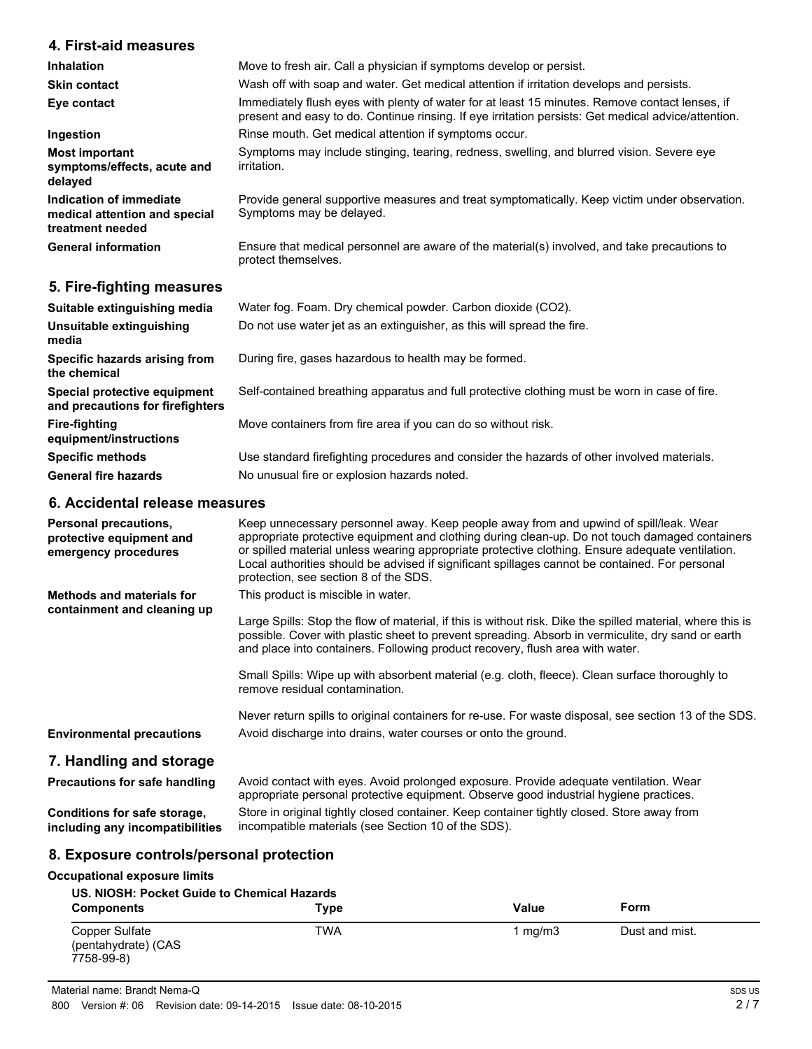# **4. First-aid measures**

| <b>Inhalation</b>                                                            | Move to fresh air. Call a physician if symptoms develop or persist.                                                                                                                                   |
|------------------------------------------------------------------------------|-------------------------------------------------------------------------------------------------------------------------------------------------------------------------------------------------------|
| <b>Skin contact</b>                                                          | Wash off with soap and water. Get medical attention if irritation develops and persists.                                                                                                              |
| Eye contact                                                                  | Immediately flush eyes with plenty of water for at least 15 minutes. Remove contact lenses, if<br>present and easy to do. Continue rinsing. If eye irritation persists: Get medical advice/attention. |
| Ingestion                                                                    | Rinse mouth. Get medical attention if symptoms occur.                                                                                                                                                 |
| <b>Most important</b><br>symptoms/effects, acute and<br>delayed              | Symptoms may include stinging, tearing, redness, swelling, and blurred vision. Severe eye<br>irritation.                                                                                              |
| Indication of immediate<br>medical attention and special<br>treatment needed | Provide general supportive measures and treat symptomatically. Keep victim under observation.<br>Symptoms may be delayed.                                                                             |
| <b>General information</b>                                                   | Ensure that medical personnel are aware of the material(s) involved, and take precautions to<br>protect themselves.                                                                                   |
| 5. Fire-fighting measures                                                    |                                                                                                                                                                                                       |

| Suitable extinguishing media                                     | Water fog. Foam. Dry chemical powder. Carbon dioxide (CO2).                                   |
|------------------------------------------------------------------|-----------------------------------------------------------------------------------------------|
| Unsuitable extinguishing<br>media                                | Do not use water jet as an extinguisher, as this will spread the fire.                        |
| Specific hazards arising from<br>the chemical                    | During fire, gases hazardous to health may be formed.                                         |
| Special protective equipment<br>and precautions for firefighters | Self-contained breathing apparatus and full protective clothing must be worn in case of fire. |
| <b>Fire-fighting</b><br>equipment/instructions                   | Move containers from fire area if you can do so without risk.                                 |
| <b>Specific methods</b>                                          | Use standard firefighting procedures and consider the hazards of other involved materials.    |
| <b>General fire hazards</b>                                      | No unusual fire or explosion hazards noted.                                                   |
|                                                                  |                                                                                               |

### **6. Accidental release measures**

| <b>Personal precautions,</b><br>protective equipment and<br>emergency procedures | Keep unnecessary personnel away. Keep people away from and upwind of spill/leak. Wear<br>appropriate protective equipment and clothing during clean-up. Do not touch damaged containers<br>or spilled material unless wearing appropriate protective clothing. Ensure adequate ventilation.<br>Local authorities should be advised if significant spillages cannot be contained. For personal<br>protection, see section 8 of the SDS. |  |
|----------------------------------------------------------------------------------|----------------------------------------------------------------------------------------------------------------------------------------------------------------------------------------------------------------------------------------------------------------------------------------------------------------------------------------------------------------------------------------------------------------------------------------|--|
| <b>Methods and materials for</b><br>containment and cleaning up                  | This product is miscible in water.<br>Large Spills: Stop the flow of material, if this is without risk. Dike the spilled material, where this is<br>possible. Cover with plastic sheet to prevent spreading. Absorb in vermiculite, dry sand or earth<br>and place into containers. Following product recovery, flush area with water.                                                                                                 |  |
|                                                                                  | Small Spills: Wipe up with absorbent material (e.g. cloth, fleece). Clean surface thoroughly to<br>remove residual contamination.                                                                                                                                                                                                                                                                                                      |  |
|                                                                                  | Never return spills to original containers for re-use. For waste disposal, see section 13 of the SDS.                                                                                                                                                                                                                                                                                                                                  |  |
| <b>Environmental precautions</b>                                                 | Avoid discharge into drains, water courses or onto the ground.                                                                                                                                                                                                                                                                                                                                                                         |  |
| 7. Handling and storage                                                          |                                                                                                                                                                                                                                                                                                                                                                                                                                        |  |
| <b>Precautions for safe handling</b>                                             | Avoid contact with eyes. Avoid prolonged exposure. Provide adequate ventilation. Wear<br>appropriate personal protective equipment. Observe good industrial hygiene practices.                                                                                                                                                                                                                                                         |  |

**Conditions for safe storage, including any incompatibilities**

Store in original tightly closed container. Keep container tightly closed. Store away from incompatible materials (see Section 10 of the SDS).

# **8. Exposure controls/personal protection**

#### **Occupational exposure limits**

| US. NIOSH: Pocket Guide to Chemical Hazards         |            |         |                |
|-----------------------------------------------------|------------|---------|----------------|
| <b>Components</b>                                   | Type       | Value   | Form           |
| Copper Sulfate<br>(pentahydrate) (CAS<br>7758-99-8) | <b>TWA</b> | 1 ma/m3 | Dust and mist. |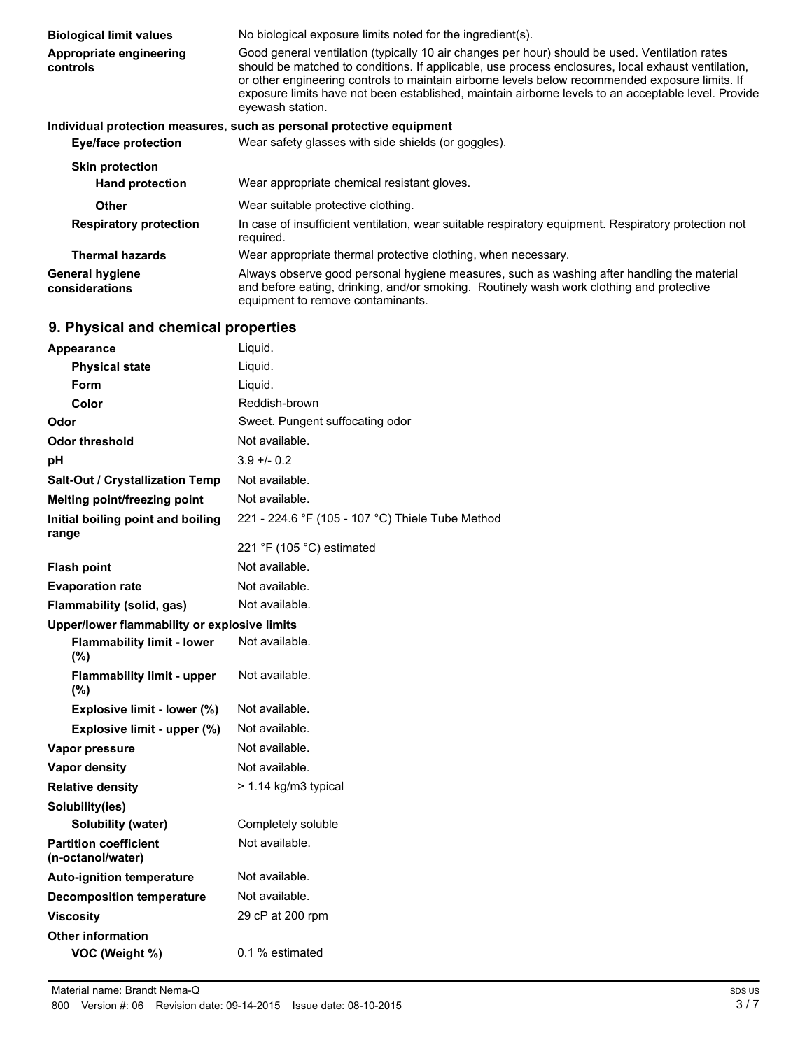| <b>Biological limit values</b>           | No biological exposure limits noted for the ingredient(s).                                                                                                                                                                                                                                                                                                                                                                         |
|------------------------------------------|------------------------------------------------------------------------------------------------------------------------------------------------------------------------------------------------------------------------------------------------------------------------------------------------------------------------------------------------------------------------------------------------------------------------------------|
| Appropriate engineering<br>controls      | Good general ventilation (typically 10 air changes per hour) should be used. Ventilation rates<br>should be matched to conditions. If applicable, use process enclosures, local exhaust ventilation,<br>or other engineering controls to maintain airborne levels below recommended exposure limits. If<br>exposure limits have not been established, maintain airborne levels to an acceptable level. Provide<br>eyewash station. |
|                                          | Individual protection measures, such as personal protective equipment                                                                                                                                                                                                                                                                                                                                                              |
| Eye/face protection                      | Wear safety glasses with side shields (or goggles).                                                                                                                                                                                                                                                                                                                                                                                |
| <b>Skin protection</b>                   |                                                                                                                                                                                                                                                                                                                                                                                                                                    |
| <b>Hand protection</b>                   | Wear appropriate chemical resistant gloves.                                                                                                                                                                                                                                                                                                                                                                                        |
| Other                                    | Wear suitable protective clothing.                                                                                                                                                                                                                                                                                                                                                                                                 |
| <b>Respiratory protection</b>            | In case of insufficient ventilation, wear suitable respiratory equipment. Respiratory protection not<br>required.                                                                                                                                                                                                                                                                                                                  |
| <b>Thermal hazards</b>                   | Wear appropriate thermal protective clothing, when necessary.                                                                                                                                                                                                                                                                                                                                                                      |
| <b>General hygiene</b><br>considerations | Always observe good personal hygiene measures, such as washing after handling the material<br>and before eating, drinking, and/or smoking. Routinely wash work clothing and protective<br>equipment to remove contaminants.                                                                                                                                                                                                        |

# **9. Physical and chemical properties**

| Appearance                                        | Liquid.                                          |  |
|---------------------------------------------------|--------------------------------------------------|--|
| <b>Physical state</b>                             | Liquid.                                          |  |
| Form                                              | Liquid.                                          |  |
| Color                                             | Reddish-brown                                    |  |
| Odor                                              | Sweet. Pungent suffocating odor                  |  |
| <b>Odor threshold</b>                             | Not available.                                   |  |
| pH                                                | $3.9 + 0.2$                                      |  |
| Salt-Out / Crystallization Temp                   | Not available.                                   |  |
| Melting point/freezing point                      | Not available.                                   |  |
| Initial boiling point and boiling<br>range        | 221 - 224.6 °F (105 - 107 °C) Thiele Tube Method |  |
|                                                   | 221 °F (105 °C) estimated                        |  |
| <b>Flash point</b>                                | Not available.                                   |  |
| <b>Evaporation rate</b>                           | Not available.                                   |  |
| Flammability (solid, gas)                         | Not available.                                   |  |
| Upper/lower flammability or explosive limits      |                                                  |  |
| <b>Flammability limit - lower</b><br>(%)          | Not available.                                   |  |
| <b>Flammability limit - upper</b><br>$(\%)$       | Not available.                                   |  |
| Explosive limit - lower (%)                       | Not available.                                   |  |
| Explosive limit - upper (%)                       | Not available.                                   |  |
| Vapor pressure                                    | Not available.                                   |  |
| <b>Vapor density</b>                              | Not available.                                   |  |
| <b>Relative density</b>                           | > 1.14 kg/m3 typical                             |  |
| Solubility(ies)                                   |                                                  |  |
| Solubility (water)                                | Completely soluble                               |  |
| <b>Partition coefficient</b><br>(n-octanol/water) | Not available.                                   |  |
| <b>Auto-ignition temperature</b>                  | Not available.                                   |  |
| <b>Decomposition temperature</b>                  | Not available.                                   |  |
| <b>Viscosity</b>                                  | 29 cP at 200 rpm                                 |  |
| <b>Other information</b>                          |                                                  |  |
| VOC (Weight %)                                    | 0.1 % estimated                                  |  |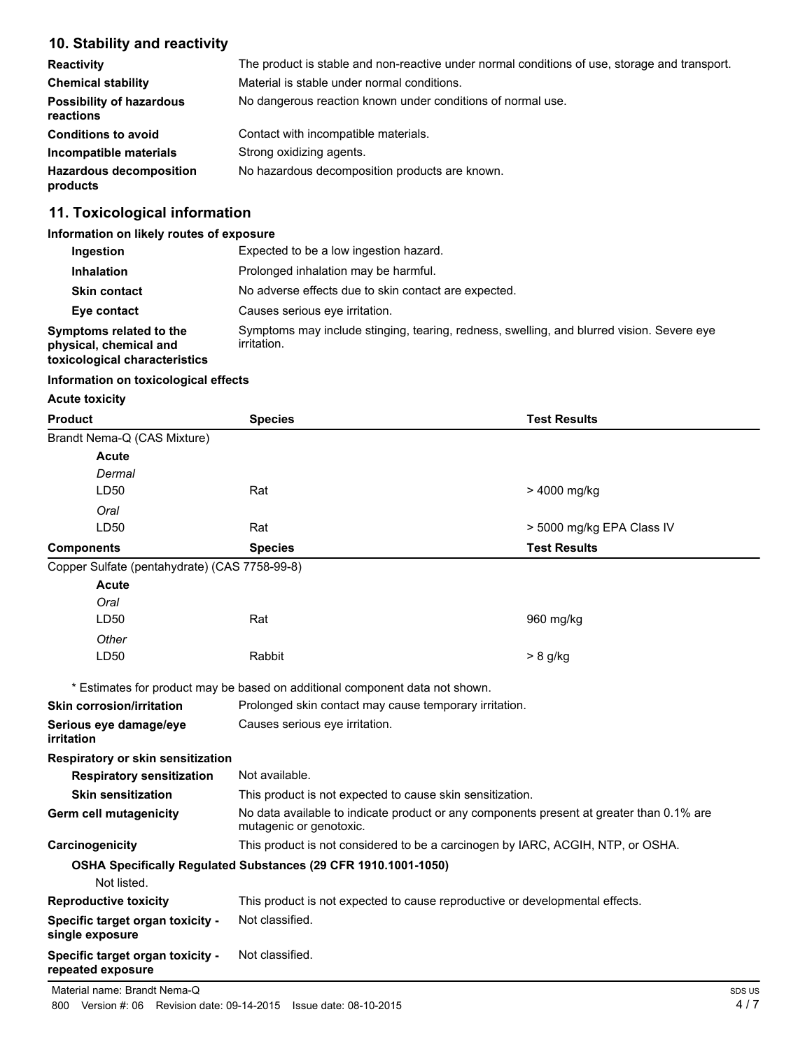# **10. Stability and reactivity**

| <b>Reactivity</b>                            | The product is stable and non-reactive under normal conditions of use, storage and transport. |
|----------------------------------------------|-----------------------------------------------------------------------------------------------|
| <b>Chemical stability</b>                    | Material is stable under normal conditions.                                                   |
| <b>Possibility of hazardous</b><br>reactions | No dangerous reaction known under conditions of normal use.                                   |
| <b>Conditions to avoid</b>                   | Contact with incompatible materials.                                                          |
| Incompatible materials                       | Strong oxidizing agents.                                                                      |
| <b>Hazardous decomposition</b><br>products   | No hazardous decomposition products are known.                                                |

# **11. Toxicological information**

#### **Information on likely routes of exposure**

| Ingestion                                                                          | Expected to be a low ingestion hazard.                                                                   |
|------------------------------------------------------------------------------------|----------------------------------------------------------------------------------------------------------|
| <b>Inhalation</b>                                                                  | Prolonged inhalation may be harmful.                                                                     |
| <b>Skin contact</b>                                                                | No adverse effects due to skin contact are expected.                                                     |
| Eye contact                                                                        | Causes serious eve irritation.                                                                           |
| Symptoms related to the<br>physical, chemical and<br>toxicological characteristics | Symptoms may include stinging, tearing, redness, swelling, and blurred vision. Severe eye<br>irritation. |

#### **Information on toxicological effects**

#### **Acute toxicity**

| Product                                               | <b>Species</b>                                                                                                      | <b>Test Results</b>       |
|-------------------------------------------------------|---------------------------------------------------------------------------------------------------------------------|---------------------------|
| Brandt Nema-Q (CAS Mixture)                           |                                                                                                                     |                           |
| Acute                                                 |                                                                                                                     |                           |
| Dermal                                                |                                                                                                                     |                           |
| LD50                                                  | Rat                                                                                                                 | > 4000 mg/kg              |
| Oral                                                  |                                                                                                                     |                           |
| LD50                                                  | Rat                                                                                                                 | > 5000 mg/kg EPA Class IV |
| <b>Components</b>                                     | <b>Species</b>                                                                                                      | <b>Test Results</b>       |
| Copper Sulfate (pentahydrate) (CAS 7758-99-8)         |                                                                                                                     |                           |
| <b>Acute</b>                                          |                                                                                                                     |                           |
| Oral                                                  |                                                                                                                     |                           |
| LD50                                                  | Rat                                                                                                                 | 960 mg/kg                 |
| Other                                                 |                                                                                                                     |                           |
| LD50                                                  | Rabbit                                                                                                              | $> 8$ g/kg                |
|                                                       | * Estimates for product may be based on additional component data not shown.                                        |                           |
| <b>Skin corrosion/irritation</b>                      | Prolonged skin contact may cause temporary irritation.                                                              |                           |
| Serious eye damage/eye<br>irritation                  | Causes serious eye irritation.                                                                                      |                           |
| Respiratory or skin sensitization                     |                                                                                                                     |                           |
| <b>Respiratory sensitization</b>                      | Not available.                                                                                                      |                           |
| <b>Skin sensitization</b>                             | This product is not expected to cause skin sensitization.                                                           |                           |
| Germ cell mutagenicity                                | No data available to indicate product or any components present at greater than 0.1% are<br>mutagenic or genotoxic. |                           |
| Carcinogenicity                                       | This product is not considered to be a carcinogen by IARC, ACGIH, NTP, or OSHA.                                     |                           |
|                                                       | OSHA Specifically Regulated Substances (29 CFR 1910.1001-1050)                                                      |                           |
| Not listed.                                           |                                                                                                                     |                           |
| <b>Reproductive toxicity</b>                          | This product is not expected to cause reproductive or developmental effects.                                        |                           |
| Specific target organ toxicity -<br>single exposure   | Not classified.                                                                                                     |                           |
| Specific target organ toxicity -<br>repeated exposure | Not classified.                                                                                                     |                           |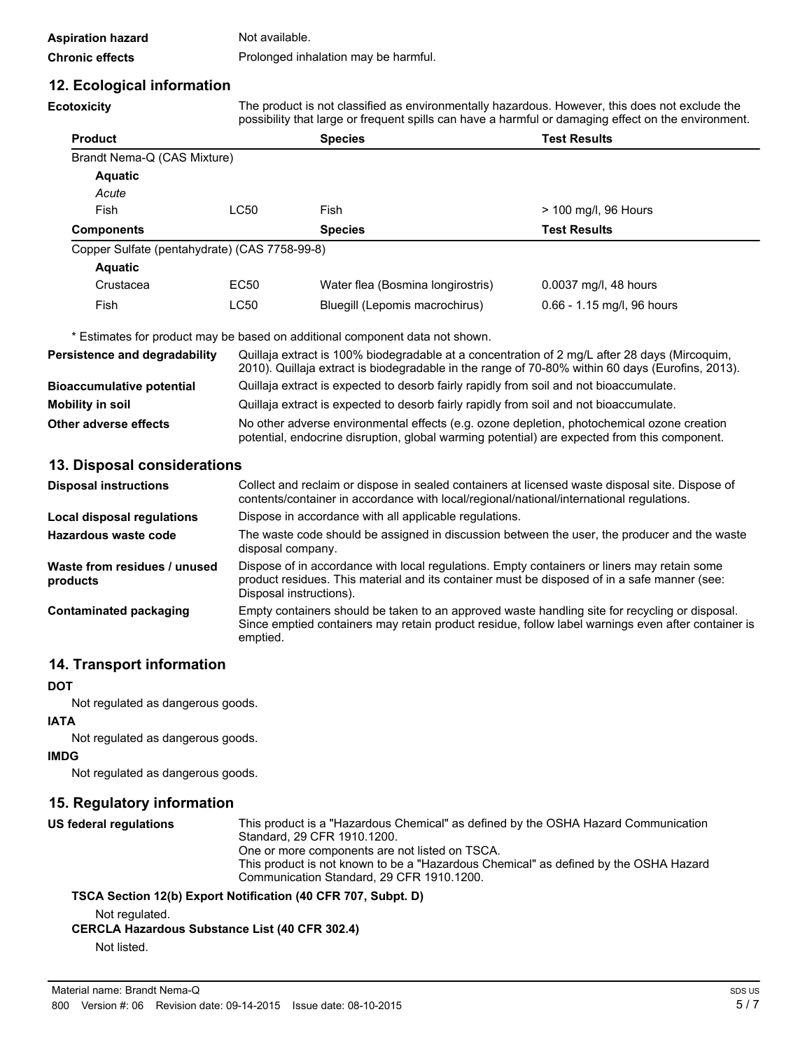| Aspiration hazard      | Not available.                       |
|------------------------|--------------------------------------|
| <b>Chronic effects</b> | Prolonged inhalation may be harmful. |

### **12. Ecological information**

**Ecotoxicity** The product is not classified as environmentally hazardous. However, this does not exclude the possibility that large or frequent spills can have a harmful or damaging effect on the environment.

|                                               |      |                                   | becomeint morning or no decir obmo contributo or neutral crocinistating on our entrancements. |
|-----------------------------------------------|------|-----------------------------------|-----------------------------------------------------------------------------------------------|
| <b>Product</b>                                |      | <b>Species</b>                    | <b>Test Results</b>                                                                           |
| Brandt Nema-Q (CAS Mixture)                   |      |                                   |                                                                                               |
| Aquatic                                       |      |                                   |                                                                                               |
| Acute                                         |      |                                   |                                                                                               |
| Fish                                          | LC50 | Fish                              | > 100 mg/l, 96 Hours                                                                          |
| <b>Components</b>                             |      | <b>Species</b>                    | <b>Test Results</b>                                                                           |
| Copper Sulfate (pentahydrate) (CAS 7758-99-8) |      |                                   |                                                                                               |
| Aquatic                                       |      |                                   |                                                                                               |
| Crustacea                                     | EC50 | Water flea (Bosmina longirostris) | 0.0037 mg/l, 48 hours                                                                         |

\* Estimates for product may be based on additional component data not shown.

| Persistence and degradability    | Quillaja extract is 100% biodegradable at a concentration of 2 mg/L after 28 days (Mircoquim,<br>2010). Quillaja extract is biodegradable in the range of 70-80% within 60 days (Eurofins, 2013). |
|----------------------------------|---------------------------------------------------------------------------------------------------------------------------------------------------------------------------------------------------|
| <b>Bioaccumulative potential</b> | Quillaja extract is expected to desorb fairly rapidly from soil and not bioaccumulate.                                                                                                            |
| <b>Mobility in soil</b>          | Quillaja extract is expected to desorb fairly rapidly from soil and not bioaccumulate.                                                                                                            |
| Other adverse effects            | No other adverse environmental effects (e.g. ozone depletion, photochemical ozone creation<br>potential, endocrine disruption, global warming potential) are expected from this component.        |

Fish LC50 Bluegill (Lepomis macrochirus) 0.66 - 1.15 mg/l, 96 hours

#### **13. Disposal considerations**

| <b>Disposal instructions</b>             | Collect and reclaim or dispose in sealed containers at licensed waste disposal site. Dispose of<br>contents/container in accordance with local/regional/national/international regulations.                            |
|------------------------------------------|------------------------------------------------------------------------------------------------------------------------------------------------------------------------------------------------------------------------|
| Local disposal regulations               | Dispose in accordance with all applicable regulations.                                                                                                                                                                 |
| Hazardous waste code                     | The waste code should be assigned in discussion between the user, the producer and the waste<br>disposal company.                                                                                                      |
| Waste from residues / unused<br>products | Dispose of in accordance with local regulations. Empty containers or liners may retain some<br>product residues. This material and its container must be disposed of in a safe manner (see:<br>Disposal instructions). |
| Contaminated packaging                   | Empty containers should be taken to an approved waste handling site for recycling or disposal.<br>Since emptied containers may retain product residue, follow label warnings even after container is<br>emptied.       |

## **14. Transport information**

#### **DOT**

Not regulated as dangerous goods.

#### **IATA**

Not regulated as dangerous goods.

#### **IMDG**

Not regulated as dangerous goods.

#### **15. Regulatory information**

| US federal regulations | This product is a "Hazardous Chemical" as defined by the OSHA Hazard Communication<br>Standard, 29 CFR 1910.1200. |
|------------------------|-------------------------------------------------------------------------------------------------------------------|
|                        | One or more components are not listed on TSCA.                                                                    |
|                        | This product is not known to be a "Hazardous Chemical" as defined by the OSHA Hazard                              |
|                        | Communication Standard, 29 CFR 1910.1200.                                                                         |
|                        | TSCA Section 12(b) Export Notification (40 CFR 707, Subpt. D)                                                     |

Not regulated.

#### **CERCLA Hazardous Substance List (40 CFR 302.4)**

Not listed.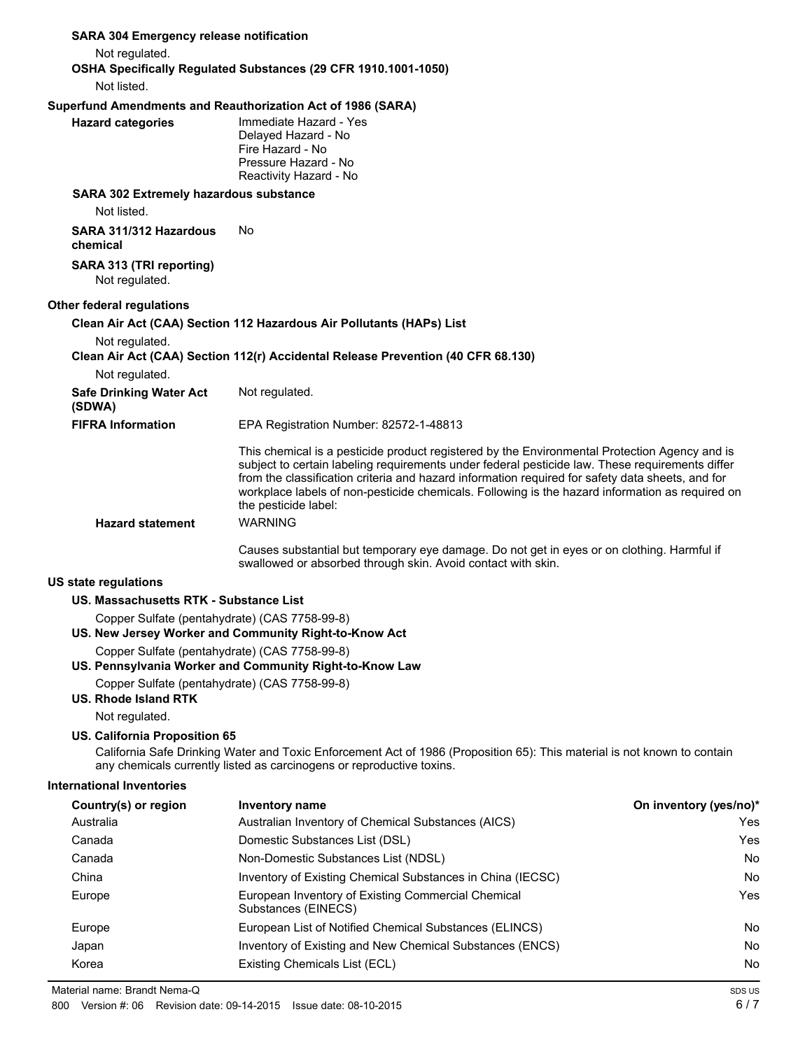| <b>SARA 304 Emergency release notification</b>                        |                                                                                                                                                                                                                                                                                                                                                                                                                                 |                        |
|-----------------------------------------------------------------------|---------------------------------------------------------------------------------------------------------------------------------------------------------------------------------------------------------------------------------------------------------------------------------------------------------------------------------------------------------------------------------------------------------------------------------|------------------------|
| Not regulated.                                                        |                                                                                                                                                                                                                                                                                                                                                                                                                                 |                        |
|                                                                       | OSHA Specifically Regulated Substances (29 CFR 1910.1001-1050)                                                                                                                                                                                                                                                                                                                                                                  |                        |
| Not listed.                                                           |                                                                                                                                                                                                                                                                                                                                                                                                                                 |                        |
|                                                                       | Superfund Amendments and Reauthorization Act of 1986 (SARA)                                                                                                                                                                                                                                                                                                                                                                     |                        |
| <b>Hazard categories</b>                                              | Immediate Hazard - Yes<br>Delayed Hazard - No<br>Fire Hazard - No<br>Pressure Hazard - No<br>Reactivity Hazard - No                                                                                                                                                                                                                                                                                                             |                        |
| SARA 302 Extremely hazardous substance                                |                                                                                                                                                                                                                                                                                                                                                                                                                                 |                        |
| Not listed.                                                           |                                                                                                                                                                                                                                                                                                                                                                                                                                 |                        |
| SARA 311/312 Hazardous<br>chemical                                    | No.                                                                                                                                                                                                                                                                                                                                                                                                                             |                        |
| SARA 313 (TRI reporting)<br>Not regulated.                            |                                                                                                                                                                                                                                                                                                                                                                                                                                 |                        |
| <b>Other federal regulations</b>                                      |                                                                                                                                                                                                                                                                                                                                                                                                                                 |                        |
|                                                                       | Clean Air Act (CAA) Section 112 Hazardous Air Pollutants (HAPs) List                                                                                                                                                                                                                                                                                                                                                            |                        |
| Not regulated.                                                        |                                                                                                                                                                                                                                                                                                                                                                                                                                 |                        |
|                                                                       | Clean Air Act (CAA) Section 112(r) Accidental Release Prevention (40 CFR 68.130)                                                                                                                                                                                                                                                                                                                                                |                        |
| Not regulated.                                                        |                                                                                                                                                                                                                                                                                                                                                                                                                                 |                        |
| <b>Safe Drinking Water Act</b><br>(SDWA)                              | Not regulated.                                                                                                                                                                                                                                                                                                                                                                                                                  |                        |
| <b>FIFRA Information</b>                                              | EPA Registration Number: 82572-1-48813                                                                                                                                                                                                                                                                                                                                                                                          |                        |
|                                                                       | This chemical is a pesticide product registered by the Environmental Protection Agency and is<br>subject to certain labeling requirements under federal pesticide law. These requirements differ<br>from the classification criteria and hazard information required for safety data sheets, and for<br>workplace labels of non-pesticide chemicals. Following is the hazard information as required on<br>the pesticide label: |                        |
| <b>Hazard statement</b>                                               | <b>WARNING</b>                                                                                                                                                                                                                                                                                                                                                                                                                  |                        |
|                                                                       | Causes substantial but temporary eye damage. Do not get in eyes or on clothing. Harmful if<br>swallowed or absorbed through skin. Avoid contact with skin.                                                                                                                                                                                                                                                                      |                        |
| <b>US state regulations</b>                                           |                                                                                                                                                                                                                                                                                                                                                                                                                                 |                        |
| US. Massachusetts RTK - Substance List                                |                                                                                                                                                                                                                                                                                                                                                                                                                                 |                        |
| Copper Sulfate (pentahydrate) (CAS 7758-99-8)                         |                                                                                                                                                                                                                                                                                                                                                                                                                                 |                        |
|                                                                       | US. New Jersey Worker and Community Right-to-Know Act                                                                                                                                                                                                                                                                                                                                                                           |                        |
| Copper Sulfate (pentahydrate) (CAS 7758-99-8)                         |                                                                                                                                                                                                                                                                                                                                                                                                                                 |                        |
|                                                                       | US. Pennsylvania Worker and Community Right-to-Know Law                                                                                                                                                                                                                                                                                                                                                                         |                        |
| Copper Sulfate (pentahydrate) (CAS 7758-99-8)<br>US. Rhode Island RTK |                                                                                                                                                                                                                                                                                                                                                                                                                                 |                        |
| Not regulated.                                                        |                                                                                                                                                                                                                                                                                                                                                                                                                                 |                        |
| US. California Proposition 65                                         | California Safe Drinking Water and Toxic Enforcement Act of 1986 (Proposition 65): This material is not known to contain<br>any chemicals currently listed as carcinogens or reproductive toxins.                                                                                                                                                                                                                               |                        |
| <b>International Inventories</b>                                      |                                                                                                                                                                                                                                                                                                                                                                                                                                 |                        |
| Country(s) or region                                                  | <b>Inventory name</b>                                                                                                                                                                                                                                                                                                                                                                                                           | On inventory (yes/no)* |
| Australia                                                             | Australian Inventory of Chemical Substances (AICS)                                                                                                                                                                                                                                                                                                                                                                              | Yes                    |
| Canada                                                                | Domestic Substances List (DSL)                                                                                                                                                                                                                                                                                                                                                                                                  | Yes                    |
| Canada                                                                | Non-Domestic Substances List (NDSL)                                                                                                                                                                                                                                                                                                                                                                                             | No                     |
| China                                                                 | Inventory of Existing Chemical Substances in China (IECSC)                                                                                                                                                                                                                                                                                                                                                                      | No                     |

Europe **European Inventory of Existing Commercial Chemical Commercial Chemical Chemical** Yes

Europe **European List of Notified Chemical Substances (ELINCS)** No Japan Inventory of Existing and New Chemical Substances (ENCS) No No Korea **Existing Chemicals List (ECL)** No **No** 

Substances (EINECS)